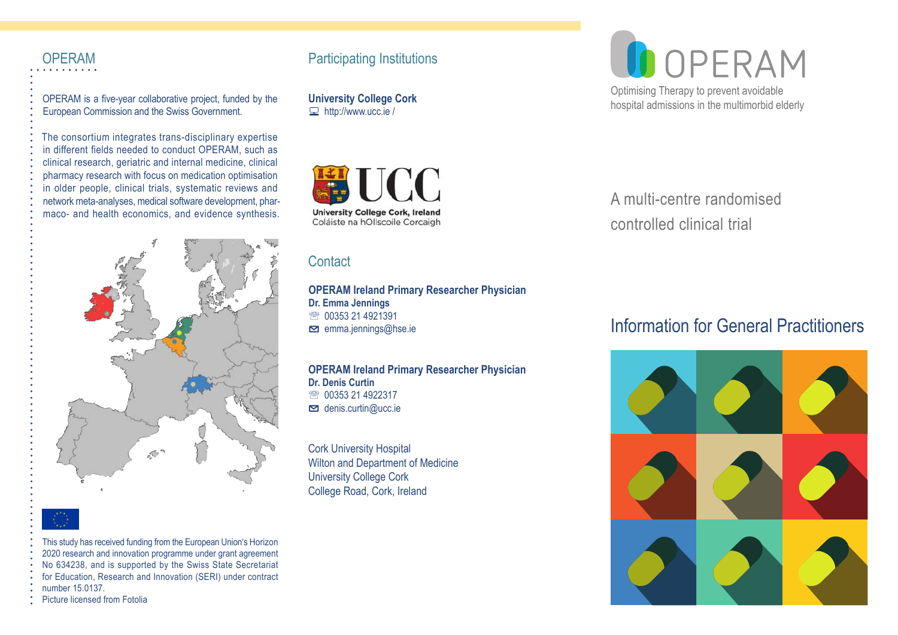OPERAM is a five-year collaborative project, funded by the European Commission and the Swiss Government.

The consortium integrates trans-disciplinary expertise in different fields needed to conduct OPERAM, such as clinical research, geriatric and internal medicine, clinical pharmacy research with focus on medication optimisation in older people, clinical trials, systematic reviews and network meta-analyses, medical software development, pharmaco- and health economics, and evidence synthesis.



This study has received funding from the European Union's Horizon 2020 research and innovation programme under grant agreement No 634238, and is supported by the Swiss State Secretariat for Education, Research and Innovation (SERI) under contract number 15.0137.

#### Picture licensed from Fotolia

# OPERAM Participating Institutions

**University College Cork**   $\Box$  http://www.ucc.ie /



# **Contact**

#### **OPERAM Ireland Primary Researcher Physician Dr. Emma Jennings** ● 00353 21 4921391

 $\blacksquare$  emma.jennings@hse.ie

### **OPERAM Ireland Primary Researcher Physician**

**Dr. Denis Curtin** ● 00353 21 4922317 **⊠** denis.curtin@ucc.ie

Cork University Hospital Wilton and Department of Medicine University College Cork College Road, Cork, Ireland



Optimising Therapy to prevent avoidable hospital admissions in the multimorbid elderly

A multi-centre randomised controlled clinical trial

# Information for General Practitioners